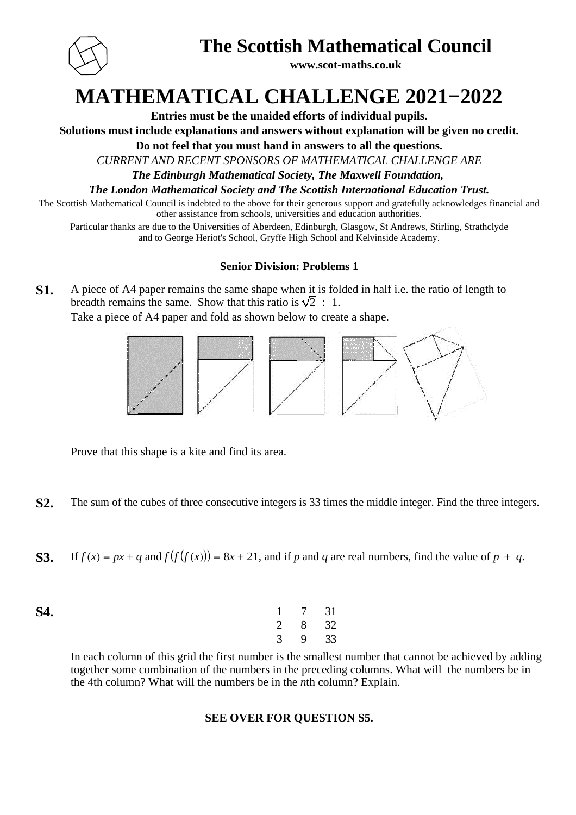

## **The Scottish Mathematical Council**

**www.scot-maths.co.uk**

# **MATHEMATICAL CHALLENGE 2021−2022**

**Entries must be the unaided efforts of individual pupils.**

**Solutions must include explanations and answers without explanation will be given no credit.**

**Do not feel that you must hand in answers to all the questions.**

*CURRENT AND RECENT SPONSORS OF MATHEMATICAL CHALLENGE ARE*

*The Edinburgh Mathematical Society, The Maxwell Foundation,* 

*The London Mathematical Society and The Scottish International Education Trust.*

The Scottish Mathematical Council is indebted to the above for their generous support and gratefully acknowledges financial and other assistance from schools, universities and education authorities.

Particular thanks are due to the Universities of Aberdeen, Edinburgh, Glasgow, St Andrews, Stirling, Strathclyde and to George Heriot's School, Gryffe High School and Kelvinside Academy.

### **Senior Division: Problems 1**

**S1.** A piece of A4 paper remains the same shape when it is folded in half i.e. the ratio of length to breadth remains the same. Show that this ratio is  $\sqrt{2}$ : 1.

Take a piece of A4 paper and fold as shown below to create a shape.



Prove that this shape is a kite and find its area.

**S2.** The sum of the cubes of three consecutive integers is 33 times the middle integer. Find the three integers.

**S3.** If  $f(x) = px + q$  and  $f(f(f(x))) = 8x + 21$ , and if p and q are real numbers, find the value of  $p + q$ .

| <b>S4.</b> | $1 \t 7 \t 31$ |  |
|------------|----------------|--|
|            | 2 8 32         |  |
|            | $3 \t 9 \t 33$ |  |

In each column of this grid the first number is the smallest number that cannot be achieved by adding together some combination of the numbers in the preceding columns. What will the numbers be in the 4th column? What will the numbers be in the *n*th column? Explain.

### **SEE OVER FOR QUESTION S5.**